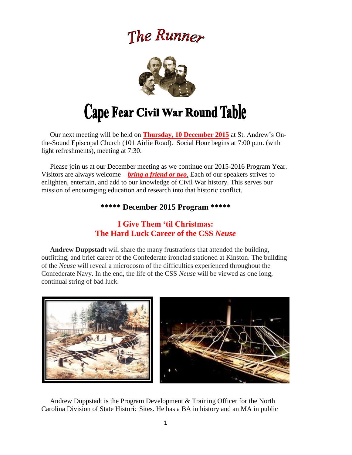## The Runner



# Cape Fear Civil War Round Table

 Our next meeting will be held on **Thursday, 10 December 2015** at St. Andrew's Onthe-Sound Episcopal Church (101 Airlie Road). Social Hour begins at 7:00 p.m. (with light refreshments), meeting at 7:30.

 Please join us at our December meeting as we continue our 2015-2016 Program Year. Visitors are always welcome – *bring a friend or two*. Each of our speakers strives to enlighten, entertain, and add to our knowledge of Civil War history. This serves our mission of encouraging education and research into that historic conflict.

#### **\*\*\*\*\* December 2015 Program \*\*\*\*\***

## **I Give Them 'til Christmas: The Hard Luck Career of the CSS** *Neuse*

 **Andrew Duppstadt** will share the many frustrations that attended the building, outfitting, and brief career of the Confederate ironclad stationed at Kinston. The building of the *Neuse* will reveal a microcosm of the difficulties experienced throughout the Confederate Navy. In the end, the life of the CSS *Neuse* will be viewed as one long, continual string of bad luck.



 Andrew Duppstadt is the Program Development & Training Officer for the North Carolina Division of State Historic Sites. He has a BA in history and an MA in public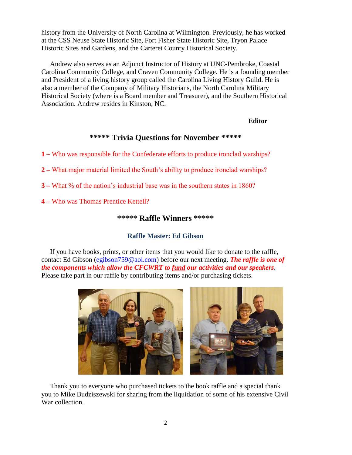history from the University of North Carolina at Wilmington. Previously, he has worked at the CSS Neuse State Historic Site, Fort Fisher State Historic Site, Tryon Palace Historic Sites and Gardens, and the Carteret County Historical Society.

 Andrew also serves as an Adjunct Instructor of History at UNC-Pembroke, Coastal Carolina Community College, and Craven Community College. He is a founding member and President of a living history group called the Carolina Living History Guild. He is also a member of the Company of Military Historians, the North Carolina Military Historical Society (where is a Board member and Treasurer), and the Southern Historical Association. Andrew resides in Kinston, NC.

#### *Editor*

#### **\*\*\*\*\* Trivia Questions for November \*\*\*\*\***

**1 –** Who was responsible for the Confederate efforts to produce ironclad warships?

**2 –** What major material limited the South's ability to produce ironclad warships?

**3 –** What % of the nation's industrial base was in the southern states in 1860?

**4 –** Who was Thomas Prentice Kettell?

#### **\*\*\*\*\* Raffle Winners \*\*\*\*\***

#### **Raffle Master: Ed Gibson**

If you have books, prints, or other items that you would like to donate to the raffle, contact Ed Gibson [\(egibson759@aol.com\)](mailto:egibson759@aol.com) before our next meeting. *The raffle is one of the components which allow the CFCWRT to fund our activities and our speakers*. Please take part in our raffle by contributing items and/or purchasing tickets.



 Thank you to everyone who purchased tickets to the book raffle and a special thank you to Mike Budziszewski for sharing from the liquidation of some of his extensive Civil War collection.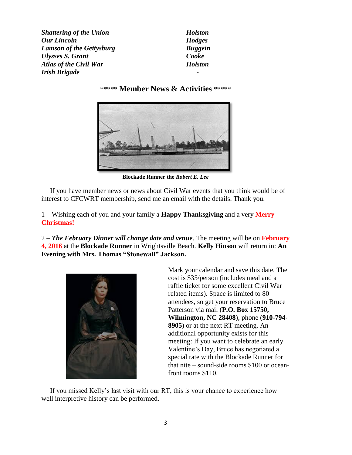**Shattering of the Union** Holston *Our Lincoln Hodges Lamson of the Gettysburg Buggein Ulysses S. Grant Cooke Atlas of the Civil War Holston Irish Brigade -*

#### \*\*\*\*\* **Member News & Activities** \*\*\*\*\*



**Blockade Runner the** *Robert E. Lee*

 If you have member news or news about Civil War events that you think would be of interest to CFCWRT membership, send me an email with the details. Thank you.

1 – Wishing each of you and your family a **Happy Thanksgiving** and a very **Merry Christmas!**

2 – *The February Dinner will change date and venue*. The meeting will be on **February 4, 2016** at the **Blockade Runner** in Wrightsville Beach. **Kelly Hinson** will return in: **An Evening with Mrs. Thomas "Stonewall" Jackson.**



Mark your calendar and save this date. The cost is \$35/person (includes meal and a raffle ticket for some excellent Civil War related items). Space is limited to 80 attendees, so get your reservation to Bruce Patterson via mail (**P.O. Box 15750, Wilmington, NC 28408**), phone (**910-794- 8905**) or at the next RT meeting. An additional opportunity exists for this meeting: If you want to celebrate an early Valentine's Day, Bruce has negotiated a special rate with the Blockade Runner for that nite – sound-side rooms \$100 or oceanfront rooms \$110.

 If you missed Kelly's last visit with our RT, this is your chance to experience how well interpretive history can be performed.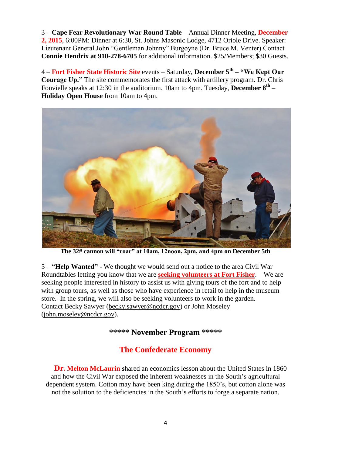3 – **Cape Fear Revolutionary War Round Table** – Annual Dinner Meeting, **December 2, 2015**, 6:00PM: Dinner at 6:30, St. Johns Masonic Lodge, 4712 Oriole Drive. Speaker: Lieutenant General John "Gentleman Johnny" Burgoyne (Dr. Bruce M. Venter) Contact **Connie Hendrix at 910-278-6705** for additional information. \$25/Members; \$30 Guests.

4 – **Fort Fisher State Historic Site** events – Saturday, **December 5th – "We Kept Our Courage Up."** The site commemorates the first attack with artillery program. Dr. Chris Fonvielle speaks at 12:30 in the auditorium. 10am to 4pm. Tuesday, **December 8th** – **Holiday Open House** from 10am to 4pm.



**The 32# cannon will "roar" at 10am, 12noon, 2pm, and 4pm on December 5th**

5 – **"Help Wanted"** - We thought we would send out a notice to the area Civil War Roundtables letting you know that we are **seeking volunteers at Fort Fisher**. We are seeking people interested in history to assist us with giving tours of the fort and to help with group tours, as well as those who have experience in retail to help in the museum store. In the spring, we will also be seeking volunteers to work in the garden. Contact Becky Sawyer [\(becky.sawyer@ncdcr.gov\)](mailto:becky.sawyer@ncdcr.gov) or John Moseley [\(john.moseley@ncdcr.gov\)](mailto:john.moseley@ncdcr.gov).

**\*\*\*\*\* November Program \*\*\*\*\***

## **The Confederate Economy**

**Dr. Melton McLaurin s**hared an economics lesson about the United States in 1860 and how the Civil War exposed the inherent weaknesses in the South's agricultural dependent system. Cotton may have been king during the 1850's, but cotton alone was not the solution to the deficiencies in the South's efforts to forge a separate nation.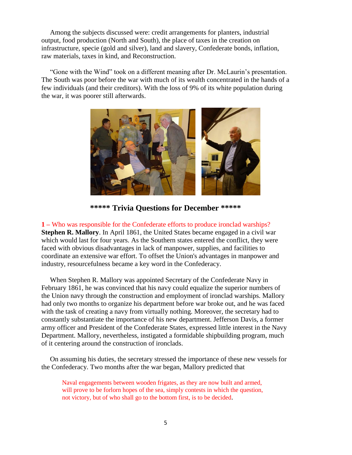Among the subjects discussed were: credit arrangements for planters, industrial output, food production (North and South), the place of taxes in the creation on infrastructure, specie (gold and silver), land and slavery, Confederate bonds, inflation, raw materials, taxes in kind, and Reconstruction.

 "Gone with the Wind" took on a different meaning after Dr. McLaurin's presentation. The South was poor before the war with much of its wealth concentrated in the hands of a few individuals (and their creditors). With the loss of 9% of its white population during the war, it was poorer still afterwards.



**\*\*\*\*\* Trivia Questions for December \*\*\*\*\***

**1 –** Who was responsible for the Confederate efforts to produce ironclad warships? **Stephen R. Mallory**. In April 1861, the United States became engaged in a civil war which would last for four years. As the Southern states entered the conflict, they were faced with obvious disadvantages in lack of manpower, supplies, and facilities to coordinate an extensive war effort. To offset the Union's advantages in manpower and industry, resourcefulness became a key word in the Confederacy.

 When Stephen R. Mallory was appointed Secretary of the Confederate Navy in February 1861, he was convinced that his navy could equalize the superior numbers of the Union navy through the construction and employment of ironclad warships. Mallory had only two months to organize his department before war broke out, and he was faced with the task of creating a navy from virtually nothing. Moreover, the secretary had to constantly substantiate the importance of his new department. Jefferson Davis, a former army officer and President of the Confederate States, expressed little interest in the Navy Department. Mallory, nevertheless, instigated a formidable shipbuilding program, much of it centering around the construction of ironclads.

 On assuming his duties, the secretary stressed the importance of these new vessels for the Confederacy. Two months after the war began, Mallory predicted that

Naval engagements between wooden frigates, as they are now built and armed, will prove to be forlorn hopes of the sea, simply contests in which the question, not victory, but of who shall go to the bottom first, is to be decided.